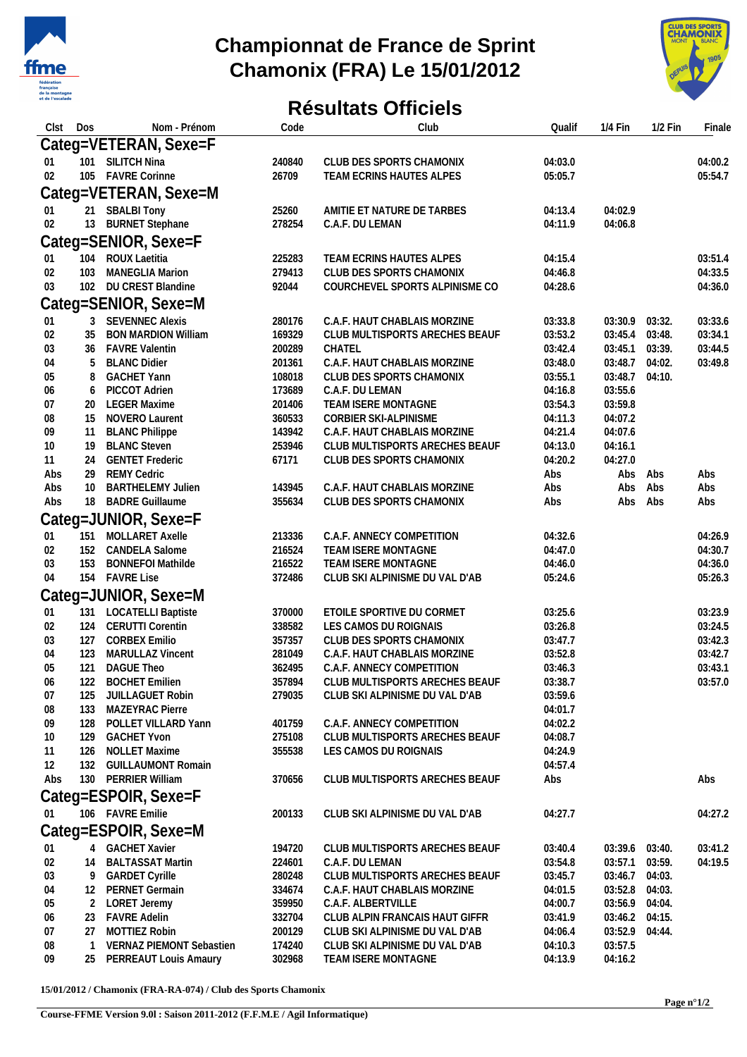

## **Championnat de France de Sprint Chamonix (FRA) Le 15/01/2012**



## **Résultats Officiels**

| Clst            | Dos    | Nom - Prénom                              | Code             | Club                                                        | Qualif             | $1/4$ Fin          | $1/2$ Fin        | Finale             |
|-----------------|--------|-------------------------------------------|------------------|-------------------------------------------------------------|--------------------|--------------------|------------------|--------------------|
|                 |        | Categ=VETERAN, Sexe=F                     |                  |                                                             |                    |                    |                  |                    |
| 01              |        | 101 SILITCH Nina                          | 240840           | CLUB DES SPORTS CHAMONIX                                    | 04:03.0            |                    |                  | 04:00.2            |
| 02              |        | 105 FAVRE Corinne                         | 26709            | TEAM ECRINS HAUTES ALPES                                    | 05:05.7            |                    |                  | 05:54.7            |
|                 |        | Categ=VETERAN, Sexe=M                     |                  |                                                             |                    |                    |                  |                    |
| 01              |        | 21 SBALBI Tony                            | 25260            | AMITIE ET NATURE DE TARBES                                  | 04:13.4            | 04:02.9            |                  |                    |
| 02              |        | 13 BURNET Stephane                        | 278254           | C.A.F. DU LEMAN                                             | 04:11.9            | 04:06.8            |                  |                    |
|                 |        | Categ=SENIOR, Sexe=F                      |                  |                                                             |                    |                    |                  |                    |
| 01              |        | 104 ROUX Laetitia                         | 225283           | TEAM ECRINS HAUTES ALPES                                    | 04:15.4            |                    |                  | 03:51.4            |
| 02              | 103    | <b>MANEGLIA Marion</b>                    | 279413           | CLUB DES SPORTS CHAMONIX                                    | 04:46.8            |                    |                  | 04:33.5            |
| 03              |        | 102 DU CREST Blandine                     | 92044            | COURCHEVEL SPORTS ALPINISME CO                              | 04:28.6            |                    |                  | 04:36.0            |
|                 |        | Categ=SENIOR, Sexe=M                      |                  |                                                             |                    |                    |                  |                    |
| 01              | 3      | <b>SEVENNEC Alexis</b>                    | 280176           | C.A.F. HAUT CHABLAIS MORZINE                                | 03:33.8            | 03:30.9            | 03:32.           | 03:33.6            |
| 02              | 35     | <b>BON MARDION William</b>                | 169329           | CLUB MULTISPORTS ARECHES BEAUF                              | 03:53.2            | 03:45.4            | 03:48.           | 03:34.1            |
| 03              | 36     | <b>FAVRE Valentin</b>                     | 200289           | CHATEL<br>C.A.F. HAUT CHABLAIS MORZINE                      | 03:42.4            | 03:45.1            | 03:39.           | 03:44.5            |
| 04              | 5      | <b>BLANC Didier</b><br><b>GACHET Yann</b> | 201361<br>108018 | CLUB DES SPORTS CHAMONIX                                    | 03:48.0<br>03:55.1 | 03:48.7<br>03:48.7 | 04:02.<br>04:10. | 03:49.8            |
| 05<br>06        | 8<br>6 | <b>PICCOT Adrien</b>                      | 173689           | C.A.F. DU LEMAN                                             | 04:16.8            | 03:55.6            |                  |                    |
| 07              |        | 20 LEGER Maxime                           | 201406           | TEAM ISERE MONTAGNE                                         | 03:54.3            | 03:59.8            |                  |                    |
| 08              |        | 15 NOVERO Laurent                         | 360533           | CORBIER SKI-ALPINISME                                       | 04:11.3            | 04:07.2            |                  |                    |
| 09              |        | 11 BLANC Philippe                         | 143942           | C.A.F. HAUT CHABLAIS MORZINE                                | 04:21.4            | 04:07.6            |                  |                    |
| 10              |        | 19 BLANC Steven                           | 253946           | CLUB MULTISPORTS ARECHES BEAUF                              | 04:13.0            | 04:16.1            |                  |                    |
| 11              |        | 24 GENTET Frederic                        | 67171            | CLUB DES SPORTS CHAMONIX                                    | 04:20.2            | 04:27.0            |                  |                    |
| Abs             | 29     | <b>REMY Cedric</b>                        |                  |                                                             | Abs                | Abs                | Abs              | Abs                |
| Abs             | 10     | <b>BARTHELEMY Julien</b>                  | 143945           | C.A.F. HAUT CHABLAIS MORZINE                                | Abs                | Abs                | Abs              | Abs                |
| Abs             |        | 18 BADRE Guillaume                        | 355634           | CLUB DES SPORTS CHAMONIX                                    | Abs                | Abs                | Abs              | Abs                |
|                 |        | Categ=JUNIOR, Sexe=F                      |                  |                                                             |                    |                    |                  |                    |
| 01              |        | 151 MOLLARET Axelle                       | 213336           | C.A.F. ANNECY COMPETITION                                   | 04:32.6            |                    |                  | 04:26.9            |
| 02              |        | 152 CANDELA Salome                        | 216524           | TEAM ISERE MONTAGNE                                         | 04:47.0            |                    |                  | 04:30.7            |
| 03              | 153    | <b>BONNEFOI Mathilde</b>                  | 216522           | TEAM ISERE MONTAGNE                                         | 04:46.0            |                    |                  | 04:36.0            |
| 04              |        | 154 FAVRE Lise                            | 372486           | CLUB SKI ALPINISME DU VAL D'AB                              | 05:24.6            |                    |                  | 05:26.3            |
|                 |        | Categ=JUNIOR, Sexe=M                      |                  |                                                             |                    |                    |                  |                    |
| 01              |        | 131 LOCATELLI Baptiste                    | 370000           | ETOILE SPORTIVE DU CORMET                                   | 03:25.6            |                    |                  | 03:23.9            |
| 02              |        | 124 CERUTTI Corentin                      | 338582           | LES CAMOS DU ROIGNAIS                                       | 03:26.8            |                    |                  | 03:24.5            |
| 03              |        | 127 CORBEX Emilio                         | 357357           | CLUB DES SPORTS CHAMONIX                                    | 03:47.7            |                    |                  | 03:42.3            |
| 04              | 123    | <b>MARULLAZ Vincent</b>                   | 281049           | C.A.F. HAUT CHABLAIS MORZINE                                | 03:52.8            |                    |                  | 03:42.7            |
| 05<br>06        |        | 121 DAGUE Theo<br>122 BOCHET Emilien      | 362495<br>357894 | C.A.F. ANNECY COMPETITION<br>CLUB MULTISPORTS ARECHES BEAUF | 03:46.3<br>03:38.7 |                    |                  | 03:43.1<br>03:57.0 |
| 07              | 125    | JUILLAGUET Robin                          | 279035           | CLUB SKI ALPINISME DU VAL D'AB                              | 03:59.6            |                    |                  |                    |
| 08              |        | 133 MAZEYRAC Pierre                       |                  |                                                             | 04:01.7            |                    |                  |                    |
| 09              |        | 128 POLLET VILLARD Yann                   | 401759           | C.A.F. ANNECY COMPETITION                                   | 04:02.2            |                    |                  |                    |
| 10 <sup>°</sup> |        | 129 GACHET Yvon                           | 275108           | CLUB MULTISPORTS ARECHES BEAUF                              | 04:08.7            |                    |                  |                    |
| 11              |        | 126 NOLLET Maxime                         | 355538           | LES CAMOS DU ROIGNAIS                                       | 04:24.9            |                    |                  |                    |
| 12              |        | 132 GUILLAUMONT Romain                    |                  |                                                             | 04:57.4            |                    |                  |                    |
| Abs             |        | 130 PERRIER William                       | 370656           | CLUB MULTISPORTS ARECHES BEAUF                              | Abs                |                    |                  | Abs                |
|                 |        | Categ=ESPOIR, Sexe=F                      |                  |                                                             |                    |                    |                  |                    |
| 01              |        | 106 FAVRE Emilie                          | 200133           | CLUB SKI ALPINISME DU VAL D'AB                              | 04:27.7            |                    |                  | 04:27.2            |
|                 |        | Categ=ESPOIR, Sexe=M                      |                  |                                                             |                    |                    |                  |                    |
| 01              |        | 4 GACHET Xavier                           | 194720           | CLUB MULTISPORTS ARECHES BEAUF                              | 03:40.4            | 03:39.6 03:40.     |                  | 03:41.2            |
| 02              |        | 14 BALTASSAT Martin                       | 224601           | C.A.F. DU LEMAN                                             | 03:54.8            | 03:57.1 03:59.     |                  | 04:19.5            |
| 03              |        | 9 GARDET Cyrille                          | 280248           | CLUB MULTISPORTS ARECHES BEAUF                              | 03:45.7            | 03:46.7            | 04:03.           |                    |
| 04              |        | 12 PERNET Germain                         | 334674           | C.A.F. HAUT CHABLAIS MORZINE                                | 04:01.5            | 03:52.8 04:03.     |                  |                    |
| 05              |        | 2 LORET Jeremy                            | 359950           | C.A.F. ALBERTVILLE                                          | 04:00.7            | 03:56.9 04:04.     |                  |                    |
| 06              |        | 23 FAVRE Adelin                           | 332704           | CLUB ALPIN FRANCAIS HAUT GIFFR                              | 03:41.9            | 03:46.2 04:15.     |                  |                    |
| 07              | 27     | MOTTIEZ Robin                             | 200129           | CLUB SKI ALPINISME DU VAL D'AB                              | 04:06.4            | 03:52.9 04:44.     |                  |                    |
| 08              | -1     | VERNAZ PIEMONT Sebastien                  | 174240           | CLUB SKI ALPINISME DU VAL D'AB                              | 04:10.3            | 03:57.5            |                  |                    |
| 09              | 25     | PERREAUT Louis Amaury                     | 302968           | TEAM ISERE MONTAGNE                                         | 04:13.9            | 04:16.2            |                  |                    |

**15/01/2012 / Chamonix (FRA-RA-074) / Club des Sports Chamonix**